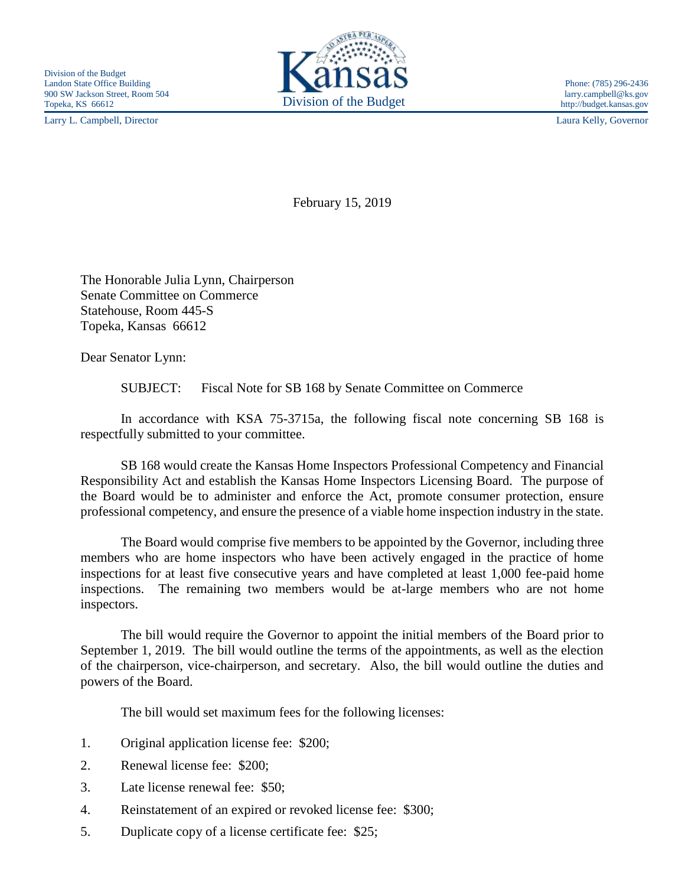Larry L. Campbell, Director Laura Kelly, Governor



http://budget.kansas.gov

February 15, 2019

The Honorable Julia Lynn, Chairperson Senate Committee on Commerce Statehouse, Room 445-S Topeka, Kansas 66612

Dear Senator Lynn:

SUBJECT: Fiscal Note for SB 168 by Senate Committee on Commerce

In accordance with KSA 75-3715a, the following fiscal note concerning SB 168 is respectfully submitted to your committee.

SB 168 would create the Kansas Home Inspectors Professional Competency and Financial Responsibility Act and establish the Kansas Home Inspectors Licensing Board. The purpose of the Board would be to administer and enforce the Act, promote consumer protection, ensure professional competency, and ensure the presence of a viable home inspection industry in the state.

The Board would comprise five members to be appointed by the Governor, including three members who are home inspectors who have been actively engaged in the practice of home inspections for at least five consecutive years and have completed at least 1,000 fee-paid home inspections. The remaining two members would be at-large members who are not home inspectors.

The bill would require the Governor to appoint the initial members of the Board prior to September 1, 2019. The bill would outline the terms of the appointments, as well as the election of the chairperson, vice-chairperson, and secretary. Also, the bill would outline the duties and powers of the Board.

The bill would set maximum fees for the following licenses:

- 1. Original application license fee: \$200;
- 2. Renewal license fee: \$200;
- 3. Late license renewal fee: \$50;
- 4. Reinstatement of an expired or revoked license fee: \$300;
- 5. Duplicate copy of a license certificate fee: \$25;